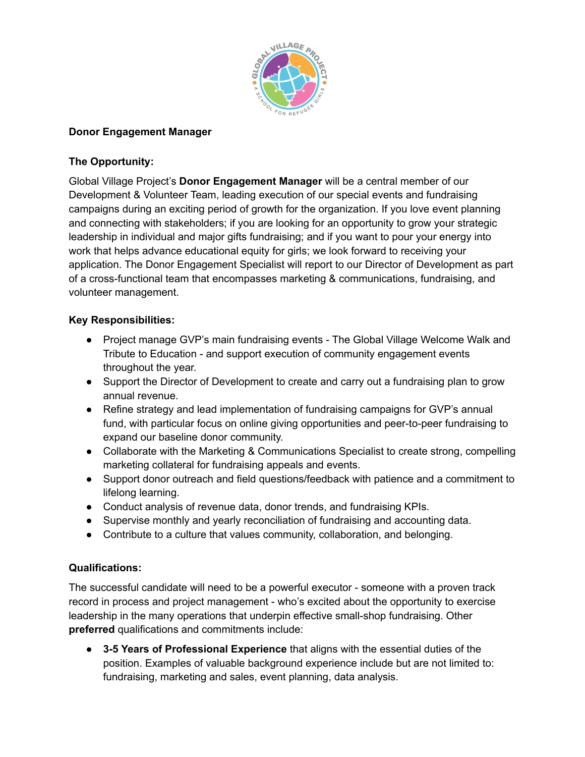

### **Donor Engagement Manager**

## **The Opportunity:**

Global Village Project's **Donor Engagement Manager** will be a central member of our Development & Volunteer Team, leading execution of our special events and fundraising campaigns during an exciting period of growth for the organization. If you love event planning and connecting with stakeholders; if you are looking for an opportunity to grow your strategic leadership in individual and major gifts fundraising; and if you want to pour your energy into work that helps advance educational equity for girls; we look forward to receiving your application. The Donor Engagement Specialist will report to our Director of Development as part of a cross-functional team that encompasses marketing & communications, fundraising, and volunteer management.

### **Key Responsibilities:**

- Project manage GVP's main fundraising events The Global Village Welcome Walk and Tribute to Education - and support execution of community engagement events throughout the year.
- Support the Director of Development to create and carry out a fundraising plan to grow annual revenue.
- Refine strategy and lead implementation of fundraising campaigns for GVP's annual fund, with particular focus on online giving opportunities and peer-to-peer fundraising to expand our baseline donor community.
- Collaborate with the Marketing & Communications Specialist to create strong, compelling marketing collateral for fundraising appeals and events.
- Support donor outreach and field questions/feedback with patience and a commitment to lifelong learning.
- Conduct analysis of revenue data, donor trends, and fundraising KPIs.
- Supervise monthly and yearly reconciliation of fundraising and accounting data.
- Contribute to a culture that values community, collaboration, and belonging.

#### **Qualifications:**

The successful candidate will need to be a powerful executor - someone with a proven track record in process and project management - who's excited about the opportunity to exercise leadership in the many operations that underpin effective small-shop fundraising. Other **preferred** qualifications and commitments include:

● **3-5 Years of Professional Experience** that aligns with the essential duties of the position. Examples of valuable background experience include but are not limited to: fundraising, marketing and sales, event planning, data analysis.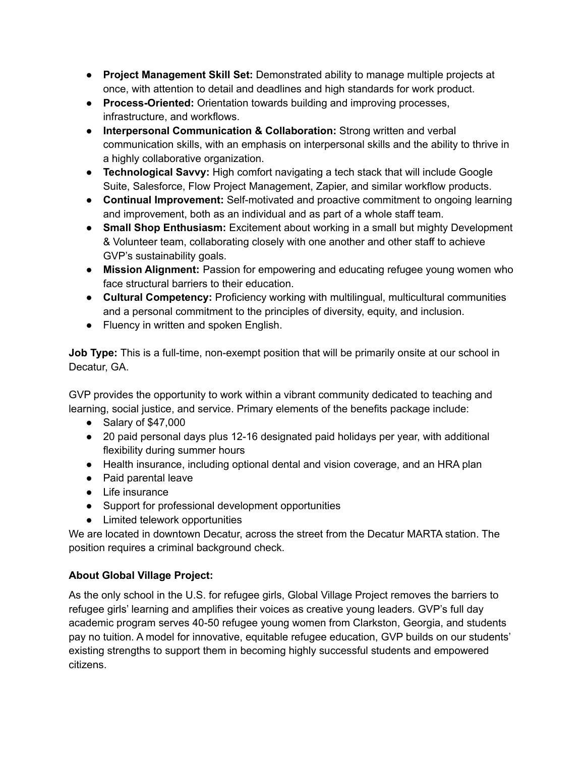- **Project Management Skill Set:** Demonstrated ability to manage multiple projects at once, with attention to detail and deadlines and high standards for work product.
- **Process-Oriented:** Orientation towards building and improving processes, infrastructure, and workflows.
- **Interpersonal Communication & Collaboration:** Strong written and verbal communication skills, with an emphasis on interpersonal skills and the ability to thrive in a highly collaborative organization.
- **Technological Savvy:** High comfort navigating a tech stack that will include Google Suite, Salesforce, Flow Project Management, Zapier, and similar workflow products.
- **Continual Improvement:** Self-motivated and proactive commitment to ongoing learning and improvement, both as an individual and as part of a whole staff team.
- **Small Shop Enthusiasm:** Excitement about working in a small but mighty Development & Volunteer team, collaborating closely with one another and other staff to achieve GVP's sustainability goals.
- **Mission Alignment:** Passion for empowering and educating refugee young women who face structural barriers to their education.
- **Cultural Competency:** Proficiency working with multilingual, multicultural communities and a personal commitment to the principles of diversity, equity, and inclusion.
- Fluency in written and spoken English.

**Job Type:** This is a full-time, non-exempt position that will be primarily onsite at our school in Decatur, GA.

GVP provides the opportunity to work within a vibrant community dedicated to teaching and learning, social justice, and service. Primary elements of the benefits package include:

- Salary of \$47,000
- 20 paid personal days plus 12-16 designated paid holidays per year, with additional flexibility during summer hours
- Health insurance, including optional dental and vision coverage, and an HRA plan
- Paid parental leave
- Life insurance
- Support for professional development opportunities
- Limited telework opportunities

We are located in downtown Decatur, across the street from the Decatur MARTA station. The position requires a criminal background check.

# **About Global Village Project:**

As the only school in the U.S. for refugee girls, Global Village Project removes the barriers to refugee girls' learning and amplifies their voices as creative young leaders. GVP's full day academic program serves 40-50 refugee young women from Clarkston, Georgia, and students pay no tuition. A model for innovative, equitable refugee education, GVP builds on our students' existing strengths to support them in becoming highly successful students and empowered citizens.